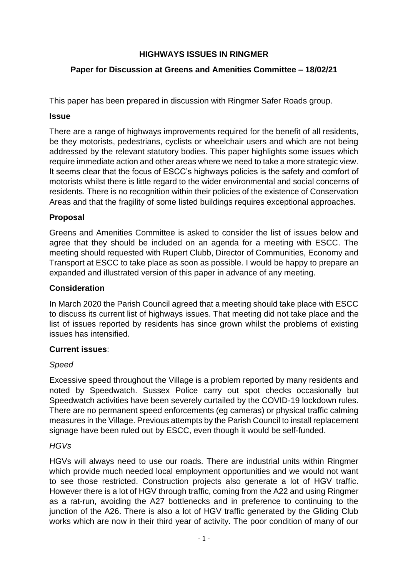# **HIGHWAYS ISSUES IN RINGMER**

## **Paper for Discussion at Greens and Amenities Committee – 18/02/21**

This paper has been prepared in discussion with Ringmer Safer Roads group.

### **Issue**

There are a range of highways improvements required for the benefit of all residents, be they motorists, pedestrians, cyclists or wheelchair users and which are not being addressed by the relevant statutory bodies. This paper highlights some issues which require immediate action and other areas where we need to take a more strategic view. It seems clear that the focus of ESCC's highways policies is the safety and comfort of motorists whilst there is little regard to the wider environmental and social concerns of residents. There is no recognition within their policies of the existence of Conservation Areas and that the fragility of some listed buildings requires exceptional approaches.

## **Proposal**

Greens and Amenities Committee is asked to consider the list of issues below and agree that they should be included on an agenda for a meeting with ESCC. The meeting should requested with Rupert Clubb, Director of Communities, Economy and Transport at ESCC to take place as soon as possible. I would be happy to prepare an expanded and illustrated version of this paper in advance of any meeting.

### **Consideration**

In March 2020 the Parish Council agreed that a meeting should take place with ESCC to discuss its current list of highways issues. That meeting did not take place and the list of issues reported by residents has since grown whilst the problems of existing issues has intensified.

### **Current issues**:

### *Speed*

Excessive speed throughout the Village is a problem reported by many residents and noted by Speedwatch. Sussex Police carry out spot checks occasionally but Speedwatch activities have been severely curtailed by the COVID-19 lockdown rules. There are no permanent speed enforcements (eg cameras) or physical traffic calming measures in the Village. Previous attempts by the Parish Council to install replacement signage have been ruled out by ESCC, even though it would be self-funded.

### *HGVs*

HGVs will always need to use our roads. There are industrial units within Ringmer which provide much needed local employment opportunities and we would not want to see those restricted. Construction projects also generate a lot of HGV traffic. However there is a lot of HGV through traffic, coming from the A22 and using Ringmer as a rat-run, avoiding the A27 bottlenecks and in preference to continuing to the junction of the A26. There is also a lot of HGV traffic generated by the Gliding Club works which are now in their third year of activity. The poor condition of many of our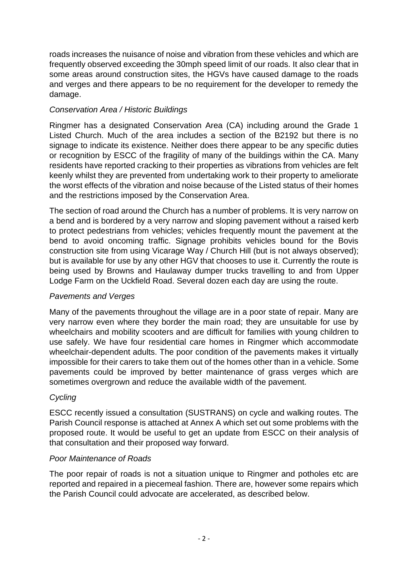roads increases the nuisance of noise and vibration from these vehicles and which are frequently observed exceeding the 30mph speed limit of our roads. It also clear that in some areas around construction sites, the HGVs have caused damage to the roads and verges and there appears to be no requirement for the developer to remedy the damage.

# *Conservation Area / Historic Buildings*

Ringmer has a designated Conservation Area (CA) including around the Grade 1 Listed Church. Much of the area includes a section of the B2192 but there is no signage to indicate its existence. Neither does there appear to be any specific duties or recognition by ESCC of the fragility of many of the buildings within the CA. Many residents have reported cracking to their properties as vibrations from vehicles are felt keenly whilst they are prevented from undertaking work to their property to ameliorate the worst effects of the vibration and noise because of the Listed status of their homes and the restrictions imposed by the Conservation Area.

The section of road around the Church has a number of problems. It is very narrow on a bend and is bordered by a very narrow and sloping pavement without a raised kerb to protect pedestrians from vehicles; vehicles frequently mount the pavement at the bend to avoid oncoming traffic. Signage prohibits vehicles bound for the Bovis construction site from using Vicarage Way / Church Hill (but is not always observed); but is available for use by any other HGV that chooses to use it. Currently the route is being used by Browns and Haulaway dumper trucks travelling to and from Upper Lodge Farm on the Uckfield Road. Several dozen each day are using the route.

# *Pavements and Verges*

Many of the pavements throughout the village are in a poor state of repair. Many are very narrow even where they border the main road; they are unsuitable for use by wheelchairs and mobility scooters and are difficult for families with young children to use safely. We have four residential care homes in Ringmer which accommodate wheelchair-dependent adults. The poor condition of the pavements makes it virtually impossible for their carers to take them out of the homes other than in a vehicle. Some pavements could be improved by better maintenance of grass verges which are sometimes overgrown and reduce the available width of the pavement.

# *Cycling*

ESCC recently issued a consultation (SUSTRANS) on cycle and walking routes. The Parish Council response is attached at Annex A which set out some problems with the proposed route. It would be useful to get an update from ESCC on their analysis of that consultation and their proposed way forward.

## *Poor Maintenance of Roads*

The poor repair of roads is not a situation unique to Ringmer and potholes etc are reported and repaired in a piecemeal fashion. There are, however some repairs which the Parish Council could advocate are accelerated, as described below.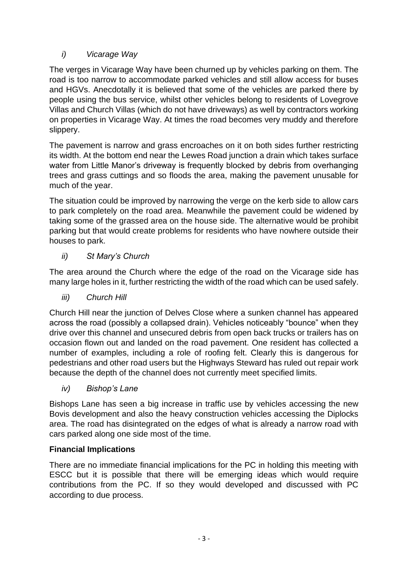# *i) Vicarage Way*

The verges in Vicarage Way have been churned up by vehicles parking on them. The road is too narrow to accommodate parked vehicles and still allow access for buses and HGVs. Anecdotally it is believed that some of the vehicles are parked there by people using the bus service, whilst other vehicles belong to residents of Lovegrove Villas and Church Villas (which do not have driveways) as well by contractors working on properties in Vicarage Way. At times the road becomes very muddy and therefore slippery.

The pavement is narrow and grass encroaches on it on both sides further restricting its width. At the bottom end near the Lewes Road junction a drain which takes surface water from Little Manor's driveway is frequently blocked by debris from overhanging trees and grass cuttings and so floods the area, making the pavement unusable for much of the year.

The situation could be improved by narrowing the verge on the kerb side to allow cars to park completely on the road area. Meanwhile the pavement could be widened by taking some of the grassed area on the house side. The alternative would be prohibit parking but that would create problems for residents who have nowhere outside their houses to park.

# *ii) St Mary's Church*

The area around the Church where the edge of the road on the Vicarage side has many large holes in it, further restricting the width of the road which can be used safely.

*iii) Church Hill*

Church Hill near the junction of Delves Close where a sunken channel has appeared across the road (possibly a collapsed drain). Vehicles noticeably "bounce" when they drive over this channel and unsecured debris from open back trucks or trailers has on occasion flown out and landed on the road pavement. One resident has collected a number of examples, including a role of roofing felt. Clearly this is dangerous for pedestrians and other road users but the Highways Steward has ruled out repair work because the depth of the channel does not currently meet specified limits.

*iv) Bishop's Lane*

Bishops Lane has seen a big increase in traffic use by vehicles accessing the new Bovis development and also the heavy construction vehicles accessing the Diplocks area. The road has disintegrated on the edges of what is already a narrow road with cars parked along one side most of the time.

# **Financial Implications**

There are no immediate financial implications for the PC in holding this meeting with ESCC but it is possible that there will be emerging ideas which would require contributions from the PC. If so they would developed and discussed with PC according to due process.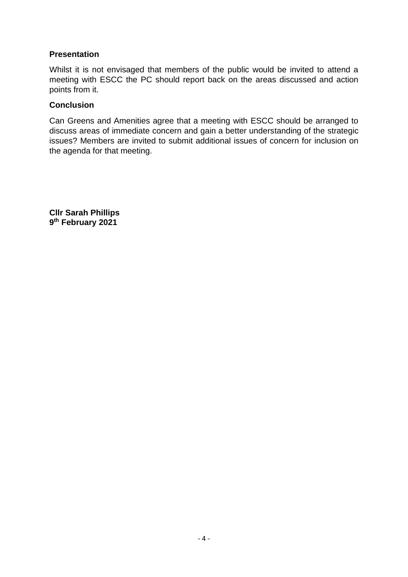## **Presentation**

Whilst it is not envisaged that members of the public would be invited to attend a meeting with ESCC the PC should report back on the areas discussed and action points from it.

## **Conclusion**

Can Greens and Amenities agree that a meeting with ESCC should be arranged to discuss areas of immediate concern and gain a better understanding of the strategic issues? Members are invited to submit additional issues of concern for inclusion on the agenda for that meeting.

**Cllr Sarah Phillips 9 th February 2021**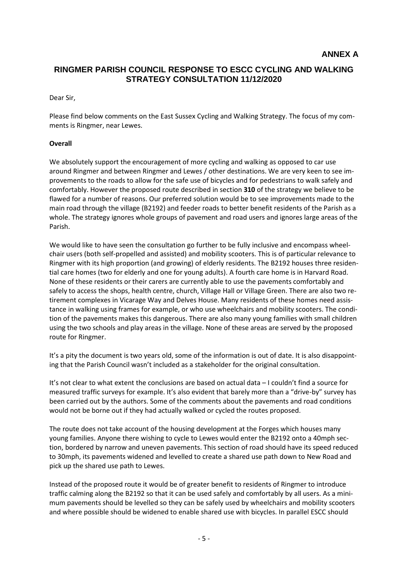## **RINGMER PARISH COUNCIL RESPONSE TO ESCC CYCLING AND WALKING STRATEGY CONSULTATION 11/12/2020**

#### Dear Sir,

Please find below comments on the East Sussex Cycling and Walking Strategy. The focus of my comments is Ringmer, near Lewes.

#### **Overall**

We absolutely support the encouragement of more cycling and walking as opposed to car use around Ringmer and between Ringmer and Lewes / other destinations. We are very keen to see improvements to the roads to allow for the safe use of bicycles and for pedestrians to walk safely and comfortably. However the proposed route described in section **310** of the strategy we believe to be flawed for a number of reasons. Our preferred solution would be to see improvements made to the main road through the village (B2192) and feeder roads to better benefit residents of the Parish as a whole. The strategy ignores whole groups of pavement and road users and ignores large areas of the Parish.

We would like to have seen the consultation go further to be fully inclusive and encompass wheelchair users (both self-propelled and assisted) and mobility scooters. This is of particular relevance to Ringmer with its high proportion (and growing) of elderly residents. The B2192 houses three residential care homes (two for elderly and one for young adults). A fourth care home is in Harvard Road. None of these residents or their carers are currently able to use the pavements comfortably and safely to access the shops, health centre, church, Village Hall or Village Green. There are also two retirement complexes in Vicarage Way and Delves House. Many residents of these homes need assistance in walking using frames for example, or who use wheelchairs and mobility scooters. The condition of the pavements makes this dangerous. There are also many young families with small children using the two schools and play areas in the village. None of these areas are served by the proposed route for Ringmer.

It's a pity the document is two years old, some of the information is out of date. It is also disappointing that the Parish Council wasn't included as a stakeholder for the original consultation.

It's not clear to what extent the conclusions are based on actual data – I couldn't find a source for measured traffic surveys for example. It's also evident that barely more than a "drive-by" survey has been carried out by the authors. Some of the comments about the pavements and road conditions would not be borne out if they had actually walked or cycled the routes proposed.

The route does not take account of the housing development at the Forges which houses many young families. Anyone there wishing to cycle to Lewes would enter the B2192 onto a 40mph section, bordered by narrow and uneven pavements. This section of road should have its speed reduced to 30mph, its pavements widened and levelled to create a shared use path down to New Road and pick up the shared use path to Lewes.

Instead of the proposed route it would be of greater benefit to residents of Ringmer to introduce traffic calming along the B2192 so that it can be used safely and comfortably by all users. As a minimum pavements should be levelled so they can be safely used by wheelchairs and mobility scooters and where possible should be widened to enable shared use with bicycles. In parallel ESCC should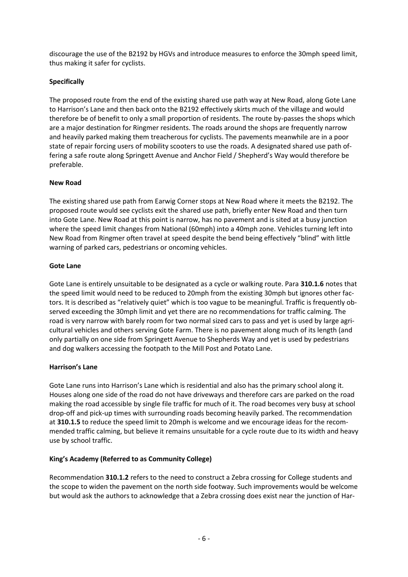discourage the use of the B2192 by HGVs and introduce measures to enforce the 30mph speed limit, thus making it safer for cyclists.

### **Specifically**

The proposed route from the end of the existing shared use path way at New Road, along Gote Lane to Harrison's Lane and then back onto the B2192 effectively skirts much of the village and would therefore be of benefit to only a small proportion of residents. The route by-passes the shops which are a major destination for Ringmer residents. The roads around the shops are frequently narrow and heavily parked making them treacherous for cyclists. The pavements meanwhile are in a poor state of repair forcing users of mobility scooters to use the roads. A designated shared use path offering a safe route along Springett Avenue and Anchor Field / Shepherd's Way would therefore be preferable.

#### **New Road**

The existing shared use path from Earwig Corner stops at New Road where it meets the B2192. The proposed route would see cyclists exit the shared use path, briefly enter New Road and then turn into Gote Lane. New Road at this point is narrow, has no pavement and is sited at a busy junction where the speed limit changes from National (60mph) into a 40mph zone. Vehicles turning left into New Road from Ringmer often travel at speed despite the bend being effectively "blind" with little warning of parked cars, pedestrians or oncoming vehicles.

### **Gote Lane**

Gote Lane is entirely unsuitable to be designated as a cycle or walking route. Para **310.1.6** notes that the speed limit would need to be reduced to 20mph from the existing 30mph but ignores other factors. It is described as "relatively quiet" which is too vague to be meaningful. Traffic is frequently observed exceeding the 30mph limit and yet there are no recommendations for traffic calming. The road is very narrow with barely room for two normal sized cars to pass and yet is used by large agricultural vehicles and others serving Gote Farm. There is no pavement along much of its length (and only partially on one side from Springett Avenue to Shepherds Way and yet is used by pedestrians and dog walkers accessing the footpath to the Mill Post and Potato Lane.

### **Harrison's Lane**

Gote Lane runs into Harrison's Lane which is residential and also has the primary school along it. Houses along one side of the road do not have driveways and therefore cars are parked on the road making the road accessible by single file traffic for much of it. The road becomes very busy at school drop-off and pick-up times with surrounding roads becoming heavily parked. The recommendation at **310.1.5** to reduce the speed limit to 20mph is welcome and we encourage ideas for the recommended traffic calming, but believe it remains unsuitable for a cycle route due to its width and heavy use by school traffic.

#### **King's Academy (Referred to as Community College)**

Recommendation **310.1.2** refers to the need to construct a Zebra crossing for College students and the scope to widen the pavement on the north side footway. Such improvements would be welcome but would ask the authors to acknowledge that a Zebra crossing does exist near the junction of Har